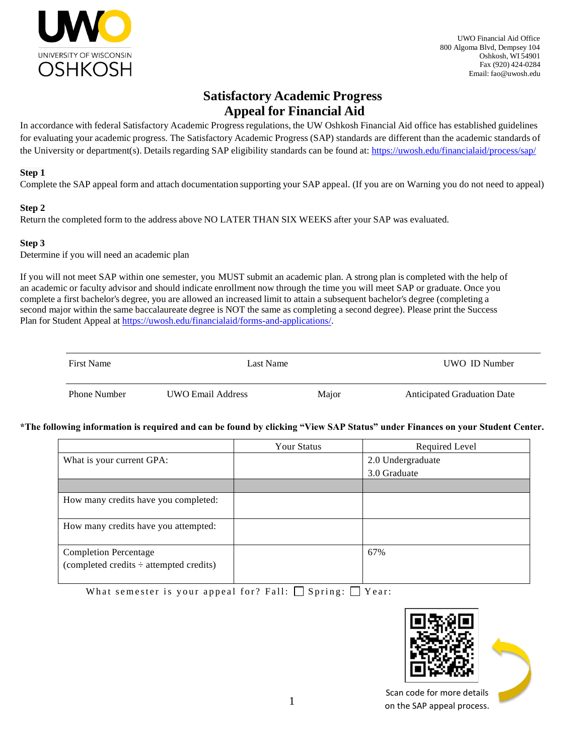

UWO Financial Aid Office 800 Algoma Blvd, Dempsey 104 Oshkosh, WI 54901 Fax (920) 424-0284 Email: [fao@uwosh.edu](mailto:fao@uwosh.edu)

# **Satisfactory Academic Progress Appeal for Financial Aid**

In accordance with federal Satisfactory Academic Progress regulations, the UW Oshkosh Financial Aid office has established guidelines for evaluating your academic progress. The Satisfactory Academic Progress (SAP) standards are different than the academic standards of the University or department(s). Details regarding SAP eligibility standards can be found at[: https://uwosh.edu/financialaid/process/sap/](https://uwosh.edu/financialaid/process/sap/)

#### **Step 1**

Complete the SAP appeal form and attach documentation supporting your SAP appeal. (If you are on Warning you do not need to appeal)

### **Step 2**

Return the completed form to the address above NO LATER THAN SIX WEEKS after your SAP was evaluated.

### **Step 3**

Determine if you will need an academic plan

If you will not meet SAP within one semester, you MUST submit an academic plan. A strong plan is completed with the help of an academic or faculty advisor and should indicate enrollment now through the time you will meet SAP or graduate. Once you complete a first bachelor's degree, you are allowed an increased limit to attain a subsequent bachelor's degree (completing a second major within the same baccalaureate degree is NOT the same as completing a second degree). Please print the Success Plan for Student Appeal at [https://uwosh.edu/financialaid/forms-and-applications/.](https://uwosh.edu/financialaid/forms-and-applications/)

| <b>First Name</b>   | Last Name         |       | UWO ID Number                      |
|---------------------|-------------------|-------|------------------------------------|
| <b>Phone Number</b> | UWO Email Address | Major | <b>Anticipated Graduation Date</b> |

#### **\*The following information is required and can be found by clicking "View SAP Status" under Finances on your Student Center.**

|                                                                              | <b>Your Status</b> | Required Level    |
|------------------------------------------------------------------------------|--------------------|-------------------|
| What is your current GPA:                                                    |                    | 2.0 Undergraduate |
|                                                                              |                    | 3.0 Graduate      |
|                                                                              |                    |                   |
| How many credits have you completed:                                         |                    |                   |
| How many credits have you attempted:                                         |                    |                   |
| <b>Completion Percentage</b><br>(completed credits $\div$ attempted credits) |                    | 67%               |

What semester is your appeal for? Fall:  $\Box$  Spring:  $\Box$  Year:



Scan code for more details on the SAP appeal process.